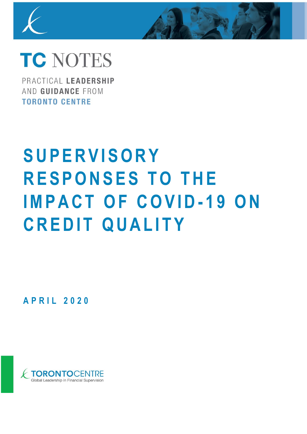

## **TC NOTES**

PRACTICAL LEADERSHIP AND GUIDANCE FROM **TORONTO CENTRE** 

# **S U P E R V I S O R Y RESPONSES TO THE IMPACT OF COVID-19 ON CREDIT QUALITY**

**A P R I L 2 0 2 0**

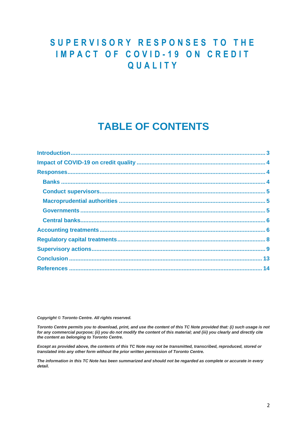## **S U P E R V I S O R Y R E S P O N S E S T O T H E IMPACT OF COVID-19 ON CREDIT Q U A L I T Y**

## **TABLE OF CONTENTS**

*Copyright © Toronto Centre. All rights reserved.* 

*Toronto Centre permits you to download, print, and use the content of this TC Note provided that: (i) such usage is not for any commercial purpose; (ii) you do not modify the content of this material; and (iii) you clearly and directly cite the content as belonging to Toronto Centre.* 

*Except as provided above, the contents of this TC Note may not be transmitted, transcribed, reproduced, stored or translated into any other form without the prior written permission of Toronto Centre.* 

*The information in this TC Note has been summarized and should not be regarded as complete or accurate in every detail.*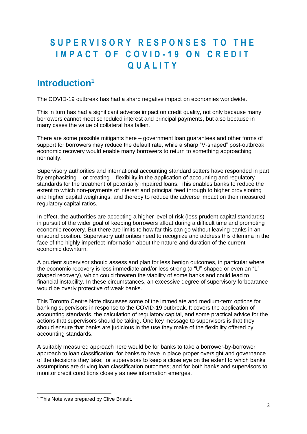## **S U P E R V I S O R Y R E S P O N S E S T O T H E IMPACT OF COVID-19 ON CREDIT Q U A L I T Y**

## <span id="page-2-0"></span>**Introduction<sup>1</sup>**

The COVID-19 outbreak has had a sharp negative impact on economies worldwide.

This in turn has had a significant adverse impact on credit quality, not only because many borrowers cannot meet scheduled interest and principal payments, but also because in many cases the value of collateral has fallen.

There are some possible mitigants here – government loan guarantees and other forms of support for borrowers may reduce the default rate, while a sharp "V-shaped" post-outbreak economic recovery would enable many borrowers to return to something approaching normality.

Supervisory authorities and international accounting standard setters have responded in part by emphasizing – or creating – flexibility in the application of accounting and regulatory standards for the treatment of potentially impaired loans. This enables banks to reduce the extent to which non-payments of interest and principal feed through to higher provisioning and higher capital weightings, and thereby to reduce the adverse impact on their measured regulatory capital ratios.

In effect, the authorities are accepting a higher level of risk (less prudent capital standards) in pursuit of the wider goal of keeping borrowers afloat during a difficult time and promoting economic recovery. But there are limits to how far this can go without leaving banks in an unsound position. Supervisory authorities need to recognize and address this dilemma in the face of the highly imperfect information about the nature and duration of the current economic downturn.

A prudent supervisor should assess and plan for less benign outcomes, in particular where the economic recovery is less immediate and/or less strong (a "U"-shaped or even an "L" shaped recovery), which could threaten the viability of some banks and could lead to financial instability. In these circumstances, an excessive degree of supervisory forbearance would be overly protective of weak banks.

This Toronto Centre Note discusses some of the immediate and medium-term options for banking supervisors in response to the COVID-19 outbreak. It covers the application of accounting standards, the calculation of regulatory capital, and some practical advice for the actions that supervisors should be taking. One key message to supervisors is that they should ensure that banks are judicious in the use they make of the flexibility offered by accounting standards.

A suitably measured approach here would be for banks to take a borrower-by-borrower approach to loan classification; for banks to have in place proper oversight and governance of the decisions they take; for supervisors to keep a close eye on the extent to which banks' assumptions are driving loan classification outcomes; and for both banks and supervisors to monitor credit conditions closely as new information emerges.

<sup>&</sup>lt;sup>1</sup> This Note was prepared by Clive Briault.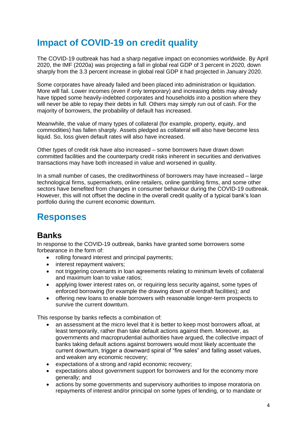## <span id="page-3-0"></span>**Impact of COVID-19 on credit quality**

The COVID-19 outbreak has had a sharp negative impact on economies worldwide. By April 2020, the IMF (2020a) was projecting a fall in global real GDP of 3 percent in 2020, down sharply from the 3.3 percent increase in global real GDP it had projected in January 2020.

Some corporates have already failed and been placed into administration or liquidation. More will fail. Lower incomes (even if only temporary) and increasing debts may already have tipped some heavily-indebted corporates and households into a position where they will never be able to repay their debts in full. Others may simply run out of cash. For the majority of borrowers, the probability of default has increased.

Meanwhile, the value of many types of collateral (for example, property, equity, and commodities) has fallen sharply. Assets pledged as collateral will also have become less liquid. So, loss given default rates will also have increased.

Other types of credit risk have also increased – some borrowers have drawn down committed facilities and the counterparty credit risks inherent in securities and derivatives transactions may have both increased in value and worsened in quality.

In a small number of cases, the creditworthiness of borrowers may have increased – large technological firms, supermarkets, online retailers, online gambling firms, and some other sectors have benefited from changes in consumer behaviour during the COVID-19 outbreak. However, this will not offset the decline in the overall credit quality of a typical bank's loan portfolio during the current economic downturn.

## <span id="page-3-1"></span>**Responses**

### <span id="page-3-2"></span>**Banks**

In response to the COVID-19 outbreak, banks have granted some borrowers some forbearance in the form of:

- rolling forward interest and principal payments:
- interest repayment waivers;
- not triggering covenants in loan agreements relating to minimum levels of collateral and maximum loan to value ratios;
- applying lower interest rates on, or requiring less security against, some types of enforced borrowing (for example the drawing down of overdraft facilities); and
- offering new loans to enable borrowers with reasonable longer-term prospects to survive the current downturn.

This response by banks reflects a combination of:

- an assessment at the micro level that it is better to keep most borrowers afloat, at least temporarily, rather than take default actions against them. Moreover, as governments and macroprudential authorities have argued, the collective impact of banks taking default actions against borrowers would most likely accentuate the current downturn, trigger a downward spiral of "fire sales" and falling asset values, and weaken any economic recovery;
- expectations of a strong and rapid economic recovery;
- expectations about government support for borrowers and for the economy more generally; and
- actions by some governments and supervisory authorities to impose moratoria on repayments of interest and/or principal on some types of lending, or to mandate or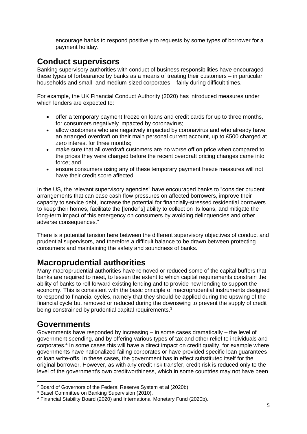encourage banks to respond positively to requests by some types of borrower for a payment holiday.

#### <span id="page-4-0"></span>**Conduct supervisors**

Banking supervisory authorities with conduct of business responsibilities have encouraged these types of forbearance by banks as a means of treating their customers – in particular households and small- and medium-sized corporates – fairly during difficult times.

For example, the UK Financial Conduct Authority (2020) has introduced measures under which lenders are expected to:

- offer a temporary payment freeze on loans and credit cards for up to three months, for consumers negatively impacted by coronavirus;
- allow customers who are negatively impacted by coronavirus and who already have an arranged overdraft on their main personal current account, up to £500 charged at zero interest for three months;
- make sure that all overdraft customers are no worse off on price when compared to the prices they were charged before the recent overdraft pricing changes came into force; and
- ensure consumers using any of these temporary payment freeze measures will not have their credit score affected.

In the US, the relevant supervisory agencies<sup>2</sup> have encouraged banks to "consider prudent" arrangements that can ease cash flow pressures on affected borrowers, improve their capacity to service debt, increase the potential for financially-stressed residential borrowers to keep their homes, facilitate the [lender's] ability to collect on its loans, and mitigate the long-term impact of this emergency on consumers by avoiding delinquencies and other adverse consequences."

There is a potential tension here between the different supervisory objectives of conduct and prudential supervisors, and therefore a difficult balance to be drawn between protecting consumers and maintaining the safety and soundness of banks.

#### <span id="page-4-1"></span>**Macroprudential authorities**

Many macroprudential authorities have removed or reduced some of the capital buffers that banks are required to meet, to lessen the extent to which capital requirements constrain the ability of banks to roll forward existing lending and to provide new lending to support the economy. This is consistent with the basic principle of macroprudential instruments designed to respond to financial cycles, namely that they should be applied during the upswing of the financial cycle but removed or reduced during the downswing to prevent the supply of credit being constrained by prudential capital requirements.<sup>3</sup>

#### <span id="page-4-2"></span>**Governments**

Governments have responded by increasing – in some cases dramatically – the level of government spending, and by offering various types of tax and other relief to individuals and corporates.<sup>4</sup> In some cases this will have a direct impact on credit quality, for example where governments have nationalized failing corporates or have provided specific loan guarantees or loan write-offs. In these cases, the government has in effect substituted itself for the original borrower. However, as with any credit risk transfer, credit risk is reduced only to the level of the government's own creditworthiness, which in some countries may not have been

<sup>2</sup> Board of Governors of the Federal Reserve System et al (2020b).

<sup>3</sup> Basel Committee on Banking Supervision (2010).

<sup>4</sup> Financial Stability Board (2020) and International Monetary Fund (2020b).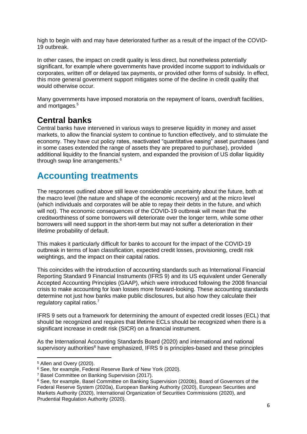high to begin with and may have deteriorated further as a result of the impact of the COVID-19 outbreak.

In other cases, the impact on credit quality is less direct, but nonetheless potentially significant, for example where governments have provided income support to individuals or corporates, written off or delayed tax payments, or provided other forms of subsidy. In effect, this more general government support mitigates some of the decline in credit quality that would otherwise occur.

Many governments have imposed moratoria on the repayment of loans, overdraft facilities, and mortgages.<sup>5</sup>

#### <span id="page-5-0"></span>**Central banks**

Central banks have intervened in various ways to preserve liquidity in money and asset markets, to allow the financial system to continue to function effectively, and to stimulate the economy. They have cut policy rates, reactivated "quantitative easing" asset purchases (and in some cases extended the range of assets they are prepared to purchase), provided additional liquidity to the financial system, and expanded the provision of US dollar liquidity through swap line arrangements.<sup>6</sup>

## <span id="page-5-1"></span>**Accounting treatments**

The responses outlined above still leave considerable uncertainty about the future, both at the macro level (the nature and shape of the economic recovery) and at the micro level (which individuals and corporates will be able to repay their debts in the future, and which will not). The economic consequences of the COVID-19 outbreak will mean that the creditworthiness of some borrowers will deteriorate over the longer term, while some other borrowers will need support in the short-term but may not suffer a deterioration in their lifetime probability of default.

This makes it particularly difficult for banks to account for the impact of the COVID-19 outbreak in terms of loan classification, expected credit losses, provisioning, credit risk weightings, and the impact on their capital ratios.

This coincides with the introduction of accounting standards such as International Financial Reporting Standard 9 Financial Instruments (IFRS 9) and its US equivalent under Generally Accepted Accounting Principles (GAAP), which were introduced following the 2008 financial crisis to make accounting for loan losses more forward-looking. These accounting standards determine not just how banks make public disclosures, but also how they calculate their regulatory capital ratios.<sup>7</sup>

IFRS 9 sets out a framework for determining the amount of expected credit losses (ECL) that should be recognized and requires that lifetime ECLs should be recognized when there is a significant increase in credit risk (SICR) on a financial instrument.

As the International Accounting Standards Board (2020) and international and national supervisory authorities<sup>8</sup> have emphasized, IFRS 9 is principles-based and these principles

<sup>5</sup> Allen and Overy (2020).

<sup>6</sup> See, for example, Federal Reserve Bank of New York (2020).

<sup>7</sup> Basel Committee on Banking Supervision (2017).

<sup>&</sup>lt;sup>8</sup> See, for example, Basel Committee on Banking Supervision (2020b), Board of Governors of the Federal Reserve System (2020a), European Banking Authority (2020), European Securities and Markets Authority (2020), International Organization of Securities Commissions (2020), and Prudential Regulation Authority (2020).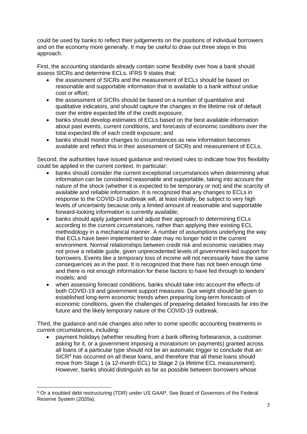could be used by banks to reflect their judgements on the positions of individual borrowers and on the economy more generally. It may be useful to draw out three steps in this approach.

First, the accounting standards already contain some flexibility over how a bank should assess SICRs and determine ECLs. IFRS 9 states that:

- the assessment of SICRs and the measurement of ECLs should be based on reasonable and supportable information that is available to a bank without undue cost or effort;
- the assessment of SICRs should be based on a number of quantitative and qualitative indicators, and should capture the changes in the lifetime risk of default over the entire expected life of the credit exposure;
- banks should develop estimates of ECLs based on the best available information about past events, current conditions, and forecasts of economic conditions over the total expected life of each credit exposure; and
- banks should monitor changes to circumstances as new information becomes available and reflect this in their assessment of SICRs and measurement of ECLs.

Second, the authorities have issued guidance and revised rules to indicate how this flexibility could be applied in the current context. In particular:

- banks should consider the current exceptional circumstances when determining what information can be considered reasonable and supportable, taking into account the nature of the shock (whether it is expected to be temporary or not) and the scarcity of available and reliable information. It is recognized that any changes to ECLs in response to the COVID-19 outbreak will, at least initially, be subject to very high levels of uncertainty because only a limited amount of reasonable and supportable forward-looking information is currently available;
- banks should apply judgement and adjust their approach to determining ECLs according to the current circumstances, rather than applying their existing ECL methodology in a mechanical manner. A number of assumptions underlying the way that ECLs have been implemented to date may no longer hold in the current environment. Normal relationships between credit risk and economic variables may not prove a reliable guide, given unprecedented levels of government-led support for borrowers. Events like a temporary loss of income will not necessarily have the same consequences as in the past. It is recognized that there has not been enough time and there is not enough information for these factors to have fed through to lenders' models; and
- when assessing forecast conditions, banks should take into account the effects of both COVID-19 and government support measures. Due weight should be given to established long-term economic trends when preparing long-term forecasts of economic conditions, given the challenges of preparing detailed forecasts far into the future and the likely temporary nature of the COVID-19 outbreak.

Third, the guidance and rule changes also refer to some specific accounting treatments in current circumstances, including:

• payment holidays (whether resulting from a bank offering forbearance, a customer asking for it, or a government imposing a moratorium on payments) granted across all loans of a particular type should not be an automatic trigger to conclude that an SICR<sup>9</sup> has occurred on all these loans, and therefore that all these loans should move from Stage 1 (a 12-month ECL) to Stage 2 (a lifetime ECL measurement). However, banks should distinguish as far as possible between borrowers whose

<sup>9</sup> Or a troubled debt restructuring (TDR) under US GAAP. See Board of Governors of the Federal Reserve System (2020a).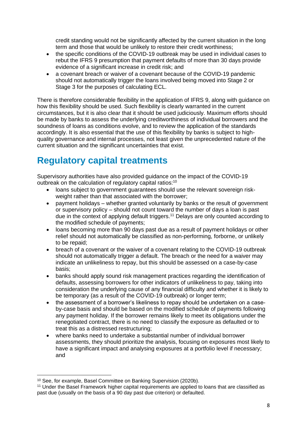credit standing would not be significantly affected by the current situation in the long term and those that would be unlikely to restore their credit worthiness;

- the specific conditions of the COVID-19 outbreak may be used in individual cases to rebut the IFRS 9 presumption that payment defaults of more than 30 days provide evidence of a significant increase in credit risk; and
- a covenant breach or waiver of a covenant because of the COVID-19 pandemic should not automatically trigger the loans involved being moved into Stage 2 or Stage 3 for the purposes of calculating ECL.

There is therefore considerable flexibility in the application of IFRS 9, along with guidance on how this flexibility should be used. Such flexibility is clearly warranted in the current circumstances, but it is also clear that it should be used judiciously. Maximum efforts should be made by banks to assess the underlying creditworthiness of individual borrowers and the soundness of loans as conditions evolve, and to review the application of the standards accordingly. It is also essential that the use of this flexibility by banks is subject to highquality governance and internal processes, not least given the unprecedented nature of the current situation and the significant uncertainties that exist.

## <span id="page-7-0"></span>**Regulatory capital treatments**

Supervisory authorities have also provided guidance on the impact of the COVID-19 outbreak on the calculation of regulatory capital ratios:<sup>10</sup>

- loans subject to government guarantees should use the relevant sovereign riskweight rather than that associated with the borrower;
- payment holidays whether granted voluntarily by banks or the result of government or supervisory policy – should not count toward the number of days a loan is past due in the context of applying default triggers. <sup>11</sup> Delays are only counted according to the modified schedule of payments;
- loans becoming more than 90 days past due as a result of payment holidays or other relief should not automatically be classified as non-performing, forborne, or unlikely to be repaid;
- breach of a covenant or the waiver of a covenant relating to the COVID-19 outbreak should not automatically trigger a default. The breach or the need for a waiver may indicate an unlikeliness to repay, but this should be assessed on a case-by-case basis;
- banks should apply sound risk management practices regarding the identification of defaults, assessing borrowers for other indicators of unlikeliness to pay, taking into consideration the underlying cause of any financial difficulty and whether it is likely to be temporary (as a result of the COVID-19 outbreak) or longer term;
- the assessment of a borrower's likeliness to repay should be undertaken on a caseby-case basis and should be based on the modified schedule of payments following any payment holiday. If the borrower remains likely to meet its obligations under the renegotiated contract, there is no need to classify the exposure as defaulted or to treat this as a distressed restructuring;
- where banks need to undertake a substantial number of individual borrower assessments, they should prioritize the analysis, focusing on exposures most likely to have a significant impact and analysing exposures at a portfolio level if necessary; and

<sup>10</sup> See, for example, Basel Committee on Banking Supervision (2020b).

<sup>11</sup> Under the Basel Framework higher capital requirements are applied to loans that are classified as past due (usually on the basis of a 90 day past due criterion) or defaulted.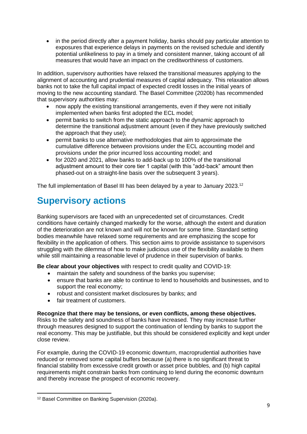• in the period directly after a payment holiday, banks should pay particular attention to exposures that experience delays in payments on the revised schedule and identify potential unlikeliness to pay in a timely and consistent manner, taking account of all measures that would have an impact on the creditworthiness of customers.

In addition, supervisory authorities have relaxed the transitional measures applying to the alignment of accounting and prudential measures of capital adequacy. This relaxation allows banks not to take the full capital impact of expected credit losses in the initial years of moving to the new accounting standard. The Basel Committee (2020b) has recommended that supervisory authorities may:

- now apply the existing transitional arrangements, even if they were not initially implemented when banks first adopted the ECL model;
- permit banks to switch from the static approach to the dynamic approach to determine the transitional adjustment amount (even if they have previously switched the approach that they use);
- permit banks to use alternative methodologies that aim to approximate the cumulative difference between provisions under the ECL accounting model and provisions under the prior incurred loss accounting model; and
- for 2020 and 2021, allow banks to add-back up to 100% of the transitional adjustment amount to their core tier 1 capital (with this "add-back" amount then phased-out on a straight-line basis over the subsequent 3 years).

The full implementation of Basel III has been delayed by a year to January 2023.<sup>12</sup>

## <span id="page-8-0"></span>**Supervisory actions**

Banking supervisors are faced with an unprecedented set of circumstances. Credit conditions have certainly changed markedly for the worse, although the extent and duration of the deterioration are not known and will not be known for some time. Standard setting bodies meanwhile have relaxed some requirements and are emphasizing the scope for flexibility in the application of others. This section aims to provide assistance to supervisors struggling with the dilemma of how to make judicious use of the flexibility available to them while still maintaining a reasonable level of prudence in their supervision of banks.

**Be clear about your objectives** with respect to credit quality and COVID-19:

- maintain the safety and soundness of the banks you supervise;
- ensure that banks are able to continue to lend to households and businesses, and to support the real economy;
- robust and consistent market disclosures by banks; and
- fair treatment of customers.

#### **Recognize that there may be tensions, or even conflicts, among these objectives.**

Risks to the safety and soundness of banks have increased. They may increase further through measures designed to support the continuation of lending by banks to support the real economy. This may be justifiable, but this should be considered explicitly and kept under close review.

For example, during the COVID-19 economic downturn, macroprudential authorities have reduced or removed some capital buffers because (a) there is no significant threat to financial stability from excessive credit growth or asset price bubbles, and (b) high capital requirements might constrain banks from continuing to lend during the economic downturn and thereby increase the prospect of economic recovery.

<sup>12</sup> Basel Committee on Banking Supervision (2020a).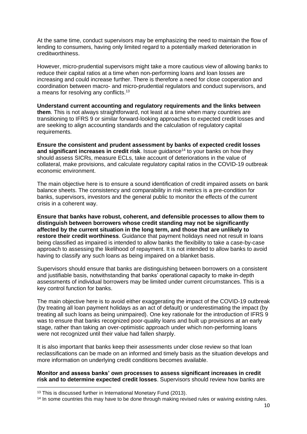At the same time, conduct supervisors may be emphasizing the need to maintain the flow of lending to consumers, having only limited regard to a potentially marked deterioration in creditworthiness.

However, micro-prudential supervisors might take a more cautious view of allowing banks to reduce their capital ratios at a time when non-performing loans and loan losses are increasing and could increase further. There is therefore a need for close cooperation and coordination between macro- and micro-prudential regulators and conduct supervisors, and a means for resolving any conflicts.<sup>13</sup>

**Understand current accounting and regulatory requirements and the links between them**. This is not always straightforward, not least at a time when many countries are transitioning to IFRS 9 or similar forward-looking approaches to expected credit losses and are seeking to align accounting standards and the calculation of regulatory capital requirements.

**Ensure the consistent and prudent assessment by banks of expected credit losses**  and significant increases in credit risk. Issue guidance<sup>14</sup> to your banks on how they should assess SICRs, measure ECLs, take account of deteriorations in the value of collateral, make provisions, and calculate regulatory capital ratios in the COVID-19 outbreak economic environment.

The main objective here is to ensure a sound identification of credit impaired assets on bank balance sheets. The consistency and comparability in risk metrics is a pre-condition for banks, supervisors, investors and the general public to monitor the effects of the current crisis in a coherent way.

**Ensure that banks have robust, coherent, and defensible processes to allow them to distinguish between borrowers whose credit standing may not be significantly affected by the current situation in the long term, and those that are unlikely to restore their credit worthiness**. Guidance that payment holidays need not result in loans being classified as impaired is intended to allow banks the flexibility to take a case-by-case approach to assessing the likelihood of repayment. It is not intended to allow banks to avoid having to classify any such loans as being impaired on a blanket basis.

Supervisors should ensure that banks are distinguishing between borrowers on a consistent and justifiable basis, notwithstanding that banks' operational capacity to make in-depth assessments of individual borrowers may be limited under current circumstances. This is a key control function for banks.

The main objective here is to avoid either exaggerating the impact of the COVID-19 outbreak (by treating all loan payment holidays as an act of default) or underestimating the impact (by treating all such loans as being unimpaired). One key rationale for the introduction of IFRS 9 was to ensure that banks recognized poor-quality loans and built up provisions at an early stage, rather than taking an over-optimistic approach under which non-performing loans were not recognized until their value had fallen sharply.

It is also important that banks keep their assessments under close review so that loan reclassifications can be made on an informed and timely basis as the situation develops and more information on underlying credit conditions becomes available.

**Monitor and assess banks' own processes to assess significant increases in credit risk and to determine expected credit losses**. Supervisors should review how banks are

<sup>&</sup>lt;sup>13</sup> This is discussed further in International Monetary Fund (2013).

<sup>&</sup>lt;sup>14</sup> In some countries this may have to be done through making revised rules or waiving existing rules.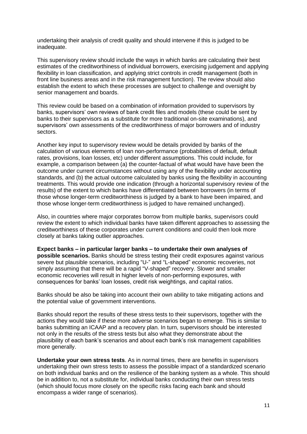undertaking their analysis of credit quality and should intervene if this is judged to be inadequate.

This supervisory review should include the ways in which banks are calculating their best estimates of the creditworthiness of individual borrowers, exercising judgement and applying flexibility in loan classification, and applying strict controls in credit management (both in front line business areas and in the risk management function). The review should also establish the extent to which these processes are subject to challenge and oversight by senior management and boards.

This review could be based on a combination of information provided to supervisors by banks, supervisors' own reviews of bank credit files and models (these could be sent by banks to their supervisors as a substitute for more traditional on-site examinations), and supervisors' own assessments of the creditworthiness of major borrowers and of industry sectors.

Another key input to supervisory review would be details provided by banks of the calculation of various elements of loan non-performance (probabilities of default, default rates, provisions, loan losses, etc) under different assumptions. This could include, for example, a comparison between (a) the counter-factual of what would have have been the outcome under current circumstances without using any of the flexibility under accounting standards, and (b) the actual outcome calculated by banks using the flexibility in accounting treatments. This would provide one indication (through a horizontal supervisory review of the results) of the extent to which banks have differentiated between borrowers (in terms of those whose longer-term creditworthiness is judged by a bank to have been impaired, and those whose longer-term creditworthiness is judged to have remained unchanged).

Also, in countries where major corporates borrow from multiple banks, supervisors could review the extent to which individual banks have taken different approaches to assessing the creditworthiness of these corporates under current conditions and could then look more closely at banks taking outlier approaches.

**Expect banks – in particular larger banks – to undertake their own analyses of possible scenarios.** Banks should be stress testing their credit exposures against various severe but plausible scenarios, including "U-" and "L-shaped" economic recoveries, not simply assuming that there will be a rapid "V-shaped" recovery. Slower and smaller economic recoveries will result in higher levels of non-performing exposures, with consequences for banks' loan losses, credit risk weightings, and capital ratios.

Banks should be also be taking into account their own ability to take mitigating actions and the potential value of government interventions.

Banks should report the results of these stress tests to their supervisors, together with the actions they would take if these more adverse scenarios began to emerge. This is similar to banks submitting an ICAAP and a recovery plan. In turn, supervisors should be interested not only in the results of the stress tests but also what they demonstrate about the plausibility of each bank's scenarios and about each bank's risk management capabilities more generally.

**Undertake your own stress tests**. As in normal times, there are benefits in supervisors undertaking their own stress tests to assess the possible impact of a standardized scenario on both individual banks and on the resilience of the banking system as a whole. This should be in addition to, not a substitute for, individual banks conducting their own stress tests (which should focus more closely on the specific risks facing each bank and should encompass a wider range of scenarios).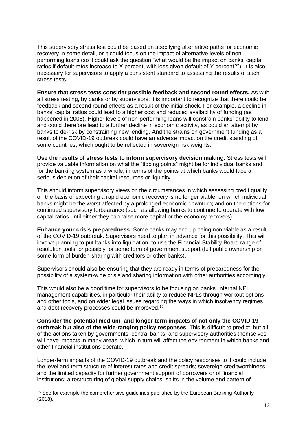This supervisory stress test could be based on specifying alternative paths for economic recovery in some detail, or it could focus on the impact of alternative levels of nonperforming loans (so it could ask the question "what would be the impact on banks' capital ratios if default rates increase to X percent, with loss given default of Y percent?"). It is also necessary for supervisors to apply a consistent standard to assessing the results of such stress tests.

**Ensure that stress tests consider possible feedback and second round effects.** As with all stress testing, by banks or by supervisors, it is important to recognize that there could be feedback and second round effects as a result of the initial shock. For example, a decline in banks' capital ratios could lead to a higher cost and reduced availability of funding (as happened in 2008). Higher levels of non-performing loans will constrain banks' ability to lend and could therefore lead to a further decline in economic activity, as could an attempt by banks to de-risk by constraining new lending. And the strains on government funding as a result of the COVID-19 outbreak could have an adverse impact on the credit standing of some countries, which ought to be reflected in sovereign risk weights.

**Use the results of stress tests to inform supervisory decision making.** Stress tests will provide valuable information on what the "tipping points" might be for individual banks and for the banking system as a whole, in terms of the points at which banks would face a serious depletion of their capital resources or liquidity.

This should inform supervisory views on the circumstances in which assessing credit quality on the basis of expecting a rapid economic recovery is no longer viable; on which individual banks might be the worst affected by a prolonged economic downturn; and on the options for continued supervisory forbearance (such as allowing banks to continue to operate with low capital ratios until either they can raise more capital or the economy recovers).

**Enhance your crisis preparedness**. Some banks may end up being non-viable as a result of the COVID-19 outbreak. Supervisors need to plan in advance for this possibility. This will involve planning to put banks into liquidation, to use the Financial Stability Board range of resolution tools, or possibly for some form of government support (full public ownership or some form of burden-sharing with creditors or other banks).

Supervisors should also be ensuring that they are ready in terms of preparedness for the possibility of a system-wide crisis and sharing information with other authorities accordingly.

This would also be a good time for supervisors to be focusing on banks' internal NPL management capabilities, in particular their ability to reduce NPLs through workout options and other tools, and on wider legal issues regarding the ways in which insolvency regimes and debt recovery processes could be improved. 15

**Consider the potential medium- and longer-term impacts of not only the COVID-19 outbreak but also of the wide-ranging policy responses**. This is difficult to predict, but all of the actions taken by governments, central banks, and supervisory authorities themselves will have impacts in many areas, which in turn will affect the environment in which banks and other financial institutions operate.

Longer-term impacts of the COVID-19 outbreak and the policy responses to it could include the level and term structure of interest rates and credit spreads; sovereign creditworthiness and the limited capacity for further government support of borrowers or of financial institutions; a restructuring of global supply chains; shifts in the volume and pattern of

<sup>&</sup>lt;sup>15</sup> See for example the comprehensive guidelines published by the European Banking Authority (2018).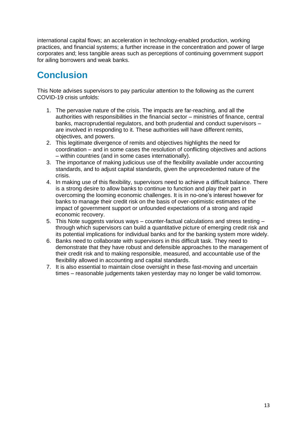international capital flows; an acceleration in technology-enabled production, working practices, and financial systems; a further increase in the concentration and power of large corporates and; less tangible areas such as perceptions of continuing government support for ailing borrowers and weak banks.

## <span id="page-12-0"></span>**Conclusion**

This Note advises supervisors to pay particular attention to the following as the current COVID-19 crisis unfolds:

- 1. The pervasive nature of the crisis. The impacts are far-reaching, and all the authorities with responsibilities in the financial sector – ministries of finance, central banks, macroprudential regulators, and both prudential and conduct supervisors – are involved in responding to it. These authorities will have different remits, objectives, and powers.
- 2. This legitimate divergence of remits and objectives highlights the need for coordination – and in some cases the resolution of conflicting objectives and actions – within countries (and in some cases internationally).
- 3. The importance of making judicious use of the flexibility available under accounting standards, and to adjust capital standards, given the unprecedented nature of the crisis.
- 4. In making use of this flexibility, supervisors need to achieve a difficult balance. There is a strong desire to allow banks to continue to function and play their part in overcoming the looming economic challenges. It is in no-one's interest however for banks to manage their credit risk on the basis of over-optimistic estimates of the impact of government support or unfounded expectations of a strong and rapid economic recovery.
- 5. This Note suggests various ways counter-factual calculations and stress testing through which supervisors can build a quantitative picture of emerging credit risk and its potential implications for individual banks and for the banking system more widely.
- 6. Banks need to collaborate with supervisors in this difficult task. They need to demonstrate that they have robust and defensible approaches to the management of their credit risk and to making responsible, measured, and accountable use of the flexibility allowed in accounting and capital standards.
- 7. It is also essential to maintain close oversight in these fast-moving and uncertain times – reasonable judgements taken yesterday may no longer be valid tomorrow.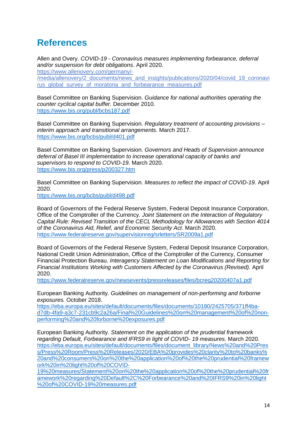## <span id="page-13-0"></span>**References**

Allen and Overy. *COVID-19 - Coronavirus measures implementing forbearance, deferral and/or suspension for debt obligations*. April 2020. [https://www.allenovery.com/germany/-](https://www.allenovery.com/germany/-/media/allenovery/2_documents/news_and_insights/publications/2020/04/covid_19_coronavirus_global_survey_of_moratoria_and_forbearance_measures.pdf) [/media/allenovery/2\\_documents/news\\_and\\_insights/publications/2020/04/covid\\_19\\_coronavi](https://www.allenovery.com/germany/-/media/allenovery/2_documents/news_and_insights/publications/2020/04/covid_19_coronavirus_global_survey_of_moratoria_and_forbearance_measures.pdf) rus global survey of moratoria and forbearance measures.pdf

Basel Committee on Banking Supervision. *Guidance for national authorities operating the counter cyclical capital buffer.* December 2010. <https://www.bis.org/publ/bcbs187.pdf>

Basel Committee on Banking Supervision. *Regulatory treatment of accounting provisions – interim approach and transitional arrangements.* March 2017. <https://www.bis.org/bcbs/publ/d401.pdf>

Basel Committee on Banking Supervision. *Governors and Heads of Supervision announce deferral of Basel III implementation to increase operational capacity of banks and supervisors to respond to COVID-19.* March 2020. <https://www.bis.org/press/p200327.htm>

Basel Committee on Banking Supervision. *Measures to reflect the impact of COVID-19*. April 2020.

<https://www.bis.org/bcbs/publ/d498.pdf>

Board of Governors of the Federal Reserve System, Federal Deposit Insurance Corporation, Office of the Comptroller of the Currency*. Joint Statement on the Interaction of Regulatory Capital Rule: Revised Transition of the CECL Methodology for Allowances with Section 4014 of the Coronavirus Aid, Relief, and Economic Security Act*. March 2020. <https://www.federalreserve.gov/supervisionreg/srletters/SR2009a1.pdf>

Board of Governors of the Federal Reserve System, Federal Deposit Insurance Corporation, National Credit Union Administration, Office of the Comptroller of the Currency, Consumer Financial Protection Bureau. *Interagency Statement on Loan Modifications and Reporting for Financial Institutions Working with Customers Affected by the Coronavirus (Revised).* April 2020.

<https://www.federalreserve.gov/newsevents/pressreleases/files/bcreg20200407a1.pdf>

European Banking Authority. *Guidelines on management of non-performing and forborne exposures.* October 2018.

[https://eba.europa.eu/sites/default/documents/files/documents/10180/2425705/371ff4ba](https://eba.europa.eu/sites/default/documents/files/documents/10180/2425705/371ff4ba-d7db-4fa9-a3c7-231cb9c2a26a/Final%20Guidelines%20on%20management%20of%20non-performing%20and%20forborne%20exposures.pdf)[d7db-4fa9-a3c7-231cb9c2a26a/Final%20Guidelines%20on%20management%20of%20non](https://eba.europa.eu/sites/default/documents/files/documents/10180/2425705/371ff4ba-d7db-4fa9-a3c7-231cb9c2a26a/Final%20Guidelines%20on%20management%20of%20non-performing%20and%20forborne%20exposures.pdf)[performing%20and%20forborne%20exposures.pdf](https://eba.europa.eu/sites/default/documents/files/documents/10180/2425705/371ff4ba-d7db-4fa9-a3c7-231cb9c2a26a/Final%20Guidelines%20on%20management%20of%20non-performing%20and%20forborne%20exposures.pdf)

European Banking Authority. *Statement on the application of the prudential framework regarding Default, Forbearance and IFRS9 in light of COVID- 19 measures*. March 2020. [https://eba.europa.eu/sites/default/documents/files/document\\_library/News%20and%20Pres](https://eba.europa.eu/sites/default/documents/files/document_library/News%20and%20Press/Press%20Room/Press%20Releases/2020/EBA%20provides%20clarity%20to%20banks%20and%20consumers%20on%20the%20application%20of%20the%20prudential%20framework%20in%20light%20of%20COVID-19%20measures/Statement%20on%20the%20application%20of%20the%20prudential%20framework%20regarding%20Default%2C%20Forbearance%20and%20IFRS9%20in%20light%20of%20COVID-19%20measures.pdf) [s/Press%20Room/Press%20Releases/2020/EBA%20provides%20clarity%20to%20banks%](https://eba.europa.eu/sites/default/documents/files/document_library/News%20and%20Press/Press%20Room/Press%20Releases/2020/EBA%20provides%20clarity%20to%20banks%20and%20consumers%20on%20the%20application%20of%20the%20prudential%20framework%20in%20light%20of%20COVID-19%20measures/Statement%20on%20the%20application%20of%20the%20prudential%20framework%20regarding%20Default%2C%20Forbearance%20and%20IFRS9%20in%20light%20of%20COVID-19%20measures.pdf) [20and%20consumers%20on%20the%20application%20of%20the%20prudential%20framew](https://eba.europa.eu/sites/default/documents/files/document_library/News%20and%20Press/Press%20Room/Press%20Releases/2020/EBA%20provides%20clarity%20to%20banks%20and%20consumers%20on%20the%20application%20of%20the%20prudential%20framework%20in%20light%20of%20COVID-19%20measures/Statement%20on%20the%20application%20of%20the%20prudential%20framework%20regarding%20Default%2C%20Forbearance%20and%20IFRS9%20in%20light%20of%20COVID-19%20measures.pdf) [ork%20in%20light%20of%20COVID-](https://eba.europa.eu/sites/default/documents/files/document_library/News%20and%20Press/Press%20Room/Press%20Releases/2020/EBA%20provides%20clarity%20to%20banks%20and%20consumers%20on%20the%20application%20of%20the%20prudential%20framework%20in%20light%20of%20COVID-19%20measures/Statement%20on%20the%20application%20of%20the%20prudential%20framework%20regarding%20Default%2C%20Forbearance%20and%20IFRS9%20in%20light%20of%20COVID-19%20measures.pdf)

[19%20measures/Statement%20on%20the%20application%20of%20the%20prudential%20fr](https://eba.europa.eu/sites/default/documents/files/document_library/News%20and%20Press/Press%20Room/Press%20Releases/2020/EBA%20provides%20clarity%20to%20banks%20and%20consumers%20on%20the%20application%20of%20the%20prudential%20framework%20in%20light%20of%20COVID-19%20measures/Statement%20on%20the%20application%20of%20the%20prudential%20framework%20regarding%20Default%2C%20Forbearance%20and%20IFRS9%20in%20light%20of%20COVID-19%20measures.pdf) [amework%20regarding%20Default%2C%20Forbearance%20and%20IFRS9%20in%20light](https://eba.europa.eu/sites/default/documents/files/document_library/News%20and%20Press/Press%20Room/Press%20Releases/2020/EBA%20provides%20clarity%20to%20banks%20and%20consumers%20on%20the%20application%20of%20the%20prudential%20framework%20in%20light%20of%20COVID-19%20measures/Statement%20on%20the%20application%20of%20the%20prudential%20framework%20regarding%20Default%2C%20Forbearance%20and%20IFRS9%20in%20light%20of%20COVID-19%20measures.pdf) [%20of%20COVID-19%20measures.pdf](https://eba.europa.eu/sites/default/documents/files/document_library/News%20and%20Press/Press%20Room/Press%20Releases/2020/EBA%20provides%20clarity%20to%20banks%20and%20consumers%20on%20the%20application%20of%20the%20prudential%20framework%20in%20light%20of%20COVID-19%20measures/Statement%20on%20the%20application%20of%20the%20prudential%20framework%20regarding%20Default%2C%20Forbearance%20and%20IFRS9%20in%20light%20of%20COVID-19%20measures.pdf)